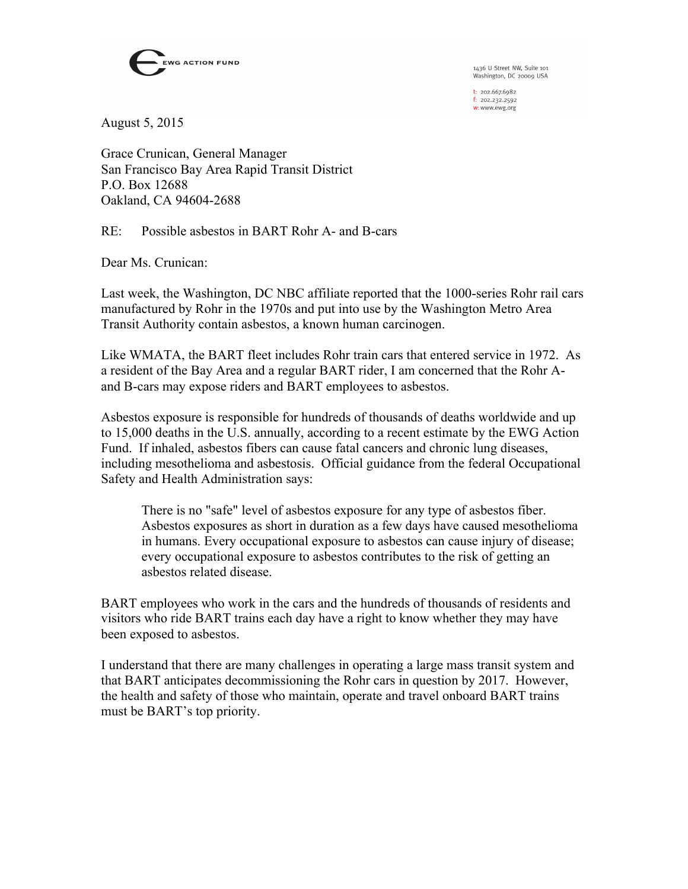

1436 U Street NW, Suite 101 Washington, DC 20009 USA

 $t: 202.667.6982$ f: 202.232.2592 w: www.ewg.org

August 5, 2015

Grace Crunican, General Manager San Francisco Bay Area Rapid Transit District P.O. Box 12688 Oakland, CA 94604-2688

RE: Possible asbestos in BART Rohr A- and B-cars

Dear Ms. Crunican:

Last week, the Washington, DC NBC affiliate reported that the 1000-series Rohr rail cars manufactured by Rohr in the 1970s and put into use by the Washington Metro Area Transit Authority contain asbestos, a known human carcinogen.

Like WMATA, the BART fleet includes Rohr train cars that entered service in 1972. As a resident of the Bay Area and a regular BART rider, I am concerned that the Rohr Aand B-cars may expose riders and BART employees to asbestos.

Asbestos exposure is responsible for hundreds of thousands of deaths worldwide and up to 15,000 deaths in the U.S. annually, according to a recent estimate by the EWG Action Fund. If inhaled, asbestos fibers can cause fatal cancers and chronic lung diseases, including mesothelioma and asbestosis. Official guidance from the federal Occupational Safety and Health Administration says:

There is no "safe" level of asbestos exposure for any type of asbestos fiber. Asbestos exposures as short in duration as a few days have caused mesothelioma in humans. Every occupational exposure to asbestos can cause injury of disease; every occupational exposure to asbestos contributes to the risk of getting an asbestos related disease.

BART employees who work in the cars and the hundreds of thousands of residents and visitors who ride BART trains each day have a right to know whether they may have been exposed to asbestos.

I understand that there are many challenges in operating a large mass transit system and that BART anticipates decommissioning the Rohr cars in question by 2017. However, the health and safety of those who maintain, operate and travel onboard BART trains must be BART's top priority.